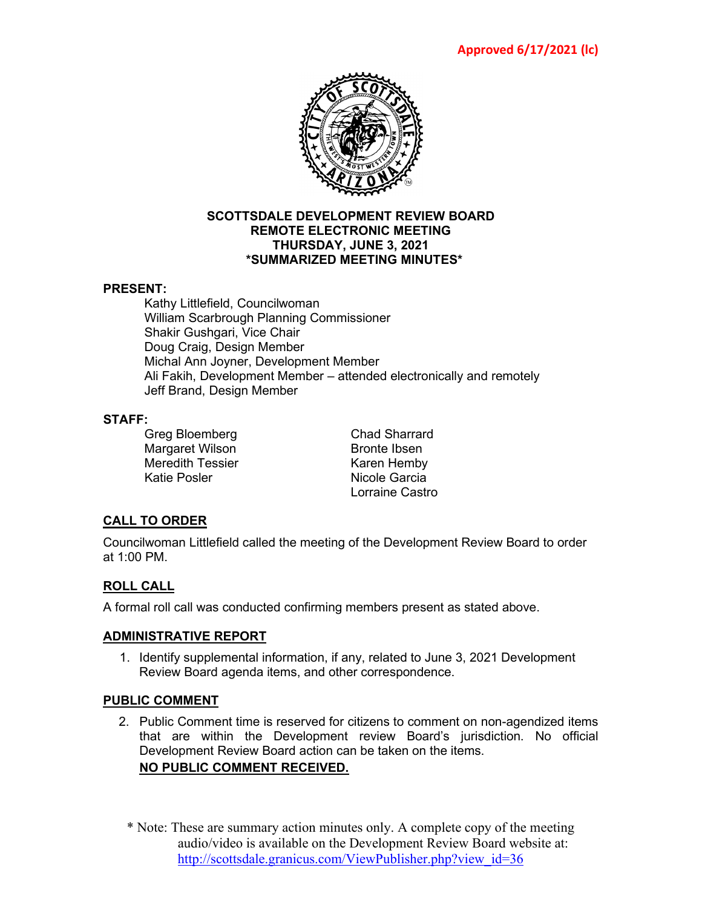

### **SCOTTSDALE DEVELOPMENT REVIEW BOARD REMOTE ELECTRONIC MEETING THURSDAY, JUNE 3, 2021 \*SUMMARIZED MEETING MINUTES\***

### **PRESENT:**

Kathy Littlefield, Councilwoman William Scarbrough Planning Commissioner Shakir Gushgari, Vice Chair Doug Craig, Design Member Michal Ann Joyner, Development Member Ali Fakih, Development Member – attended electronically and remotely Jeff Brand, Design Member

### **STAFF:**

Greg Bloemberg **Chad Sharrard** Margaret Wilson Bronte Ibsen Meredith Tessier Karen Hemby

Nicole Garcia Lorraine Castro

# **CALL TO ORDER**

Councilwoman Littlefield called the meeting of the Development Review Board to order at 1:00 PM.

## **ROLL CALL**

A formal roll call was conducted confirming members present as stated above.

## **ADMINISTRATIVE REPORT**

1. Identify supplemental information, if any, related to June 3, 2021 Development Review Board agenda items, and other correspondence.

## **PUBLIC COMMENT**

- 2. Public Comment time is reserved for citizens to comment on non-agendized items that are within the Development review Board's jurisdiction. No official Development Review Board action can be taken on the items. **NO PUBLIC COMMENT RECEIVED.**
	- \* Note: These are summary action minutes only. A complete copy of the meeting audio/video is available on the Development Review Board website at: [http://scottsdale.granicus.com/ViewPublisher.php?view\\_id=36](http://scottsdale.granicus.com/ViewPublisher.php?view_id=36)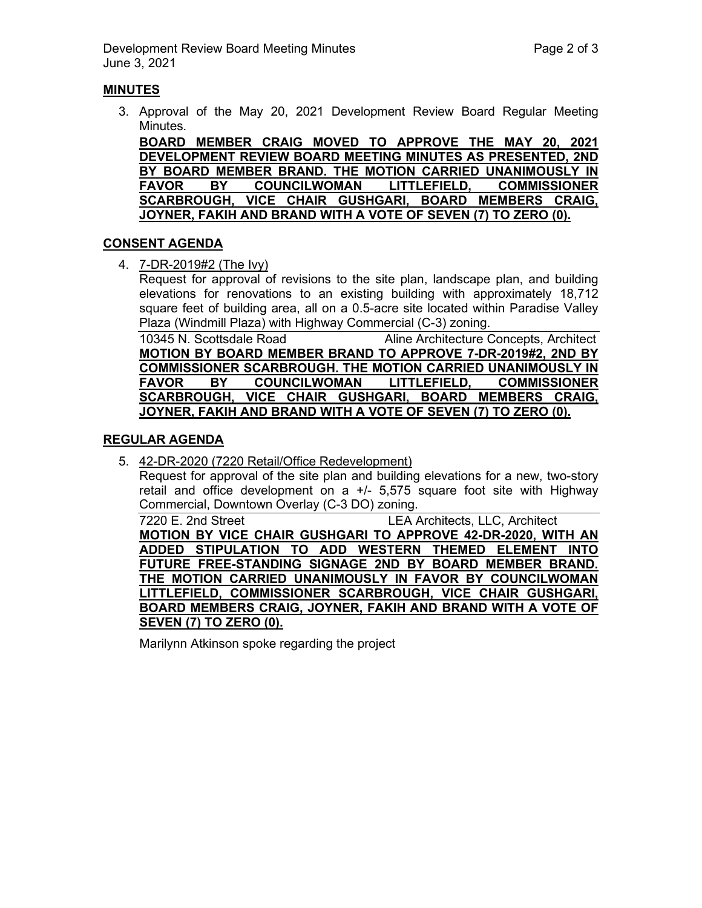## **MINUTES**

3. Approval of the May 20, 2021 Development Review Board Regular Meeting Minutes.

**BOARD MEMBER CRAIG MOVED TO APPROVE THE MAY 20, 2021 DEVELOPMENT REVIEW BOARD MEETING MINUTES AS PRESENTED, 2ND BY BOARD MEMBER BRAND. THE MOTION CARRIED UNANIMOUSLY IN FAVOR BY COUNCILWOMAN LITTLEFIELD, COMMISSIONER SCARBROUGH, VICE CHAIR GUSHGARI, BOARD MEMBERS CRAIG, JOYNER, FAKIH AND BRAND WITH A VOTE OF SEVEN (7) TO ZERO (0).**

### **CONSENT AGENDA**

4. 7-DR-2019#2 (The Ivy)

Request for approval of revisions to the site plan, landscape plan, and building elevations for renovations to an existing building with approximately 18,712 square feet of building area, all on a 0.5-acre site located within Paradise Valley Plaza (Windmill Plaza) with Highway Commercial (C-3) zoning.

10345 N. Scottsdale Road Aline Architecture Concepts, Architect **MOTION BY BOARD MEMBER BRAND TO APPROVE 7-DR-2019#2, 2ND BY COMMISSIONER SCARBROUGH. THE MOTION CARRIED UNANIMOUSLY IN FAVOR BY COUNCILWOMAN LITTLEFIELD, COMMISSIONER SCARBROUGH, VICE CHAIR GUSHGARI, BOARD MEMBERS CRAIG, JOYNER, FAKIH AND BRAND WITH A VOTE OF SEVEN (7) TO ZERO (0).**

## **REGULAR AGENDA**

5. 42-DR-2020 (7220 Retail/Office Redevelopment)

Request for approval of the site plan and building elevations for a new, two-story retail and office development on a  $+/-$  5,575 square foot site with Highway Commercial, Downtown Overlay (C-3 DO) zoning.

7220 E. 2nd Street **LEA Architects**, LLC, Architect **MOTION BY VICE CHAIR GUSHGARI TO APPROVE 42-DR-2020, WITH AN ADDED STIPULATION TO ADD WESTERN THEMED ELEMENT INTO FUTURE FREE-STANDING SIGNAGE 2ND BY BOARD MEMBER BRAND. THE MOTION CARRIED UNANIMOUSLY IN FAVOR BY COUNCILWOMAN LITTLEFIELD, COMMISSIONER SCARBROUGH, VICE CHAIR GUSHGARI, BOARD MEMBERS CRAIG, JOYNER, FAKIH AND BRAND WITH A VOTE OF SEVEN (7) TO ZERO (0).**

Marilynn Atkinson spoke regarding the project